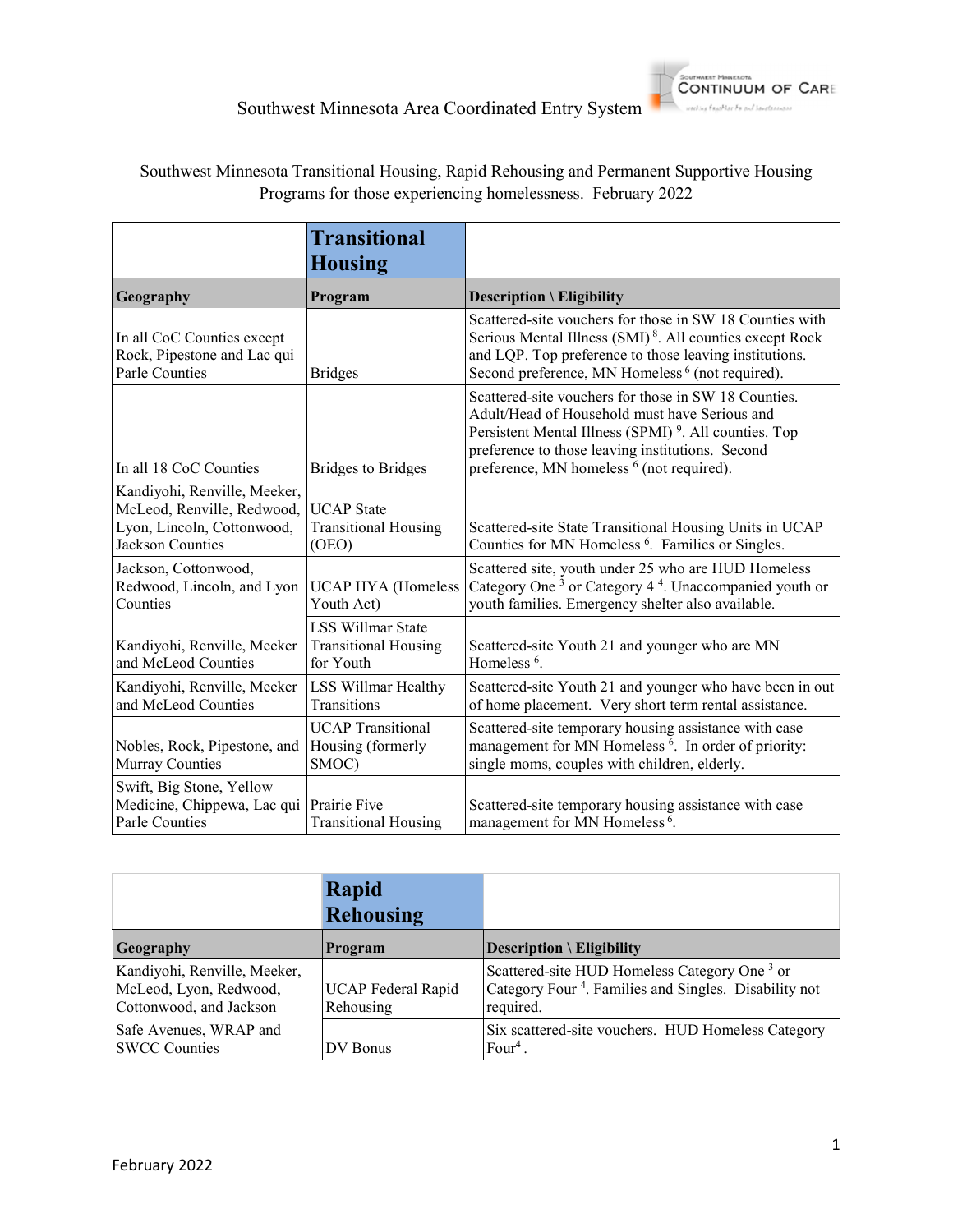

# Southwest Minnesota Transitional Housing, Rapid Rehousing and Permanent Supportive Housing Programs for those experiencing homelessness. February 2022

|                                                                                                                     | <b>Transitional</b><br><b>Housing</b>                                |                                                                                                                                                                                                                                                                                        |
|---------------------------------------------------------------------------------------------------------------------|----------------------------------------------------------------------|----------------------------------------------------------------------------------------------------------------------------------------------------------------------------------------------------------------------------------------------------------------------------------------|
| Geography                                                                                                           | Program                                                              | <b>Description \ Eligibility</b>                                                                                                                                                                                                                                                       |
| In all CoC Counties except<br>Rock, Pipestone and Lac qui<br>Parle Counties                                         | <b>Bridges</b>                                                       | Scattered-site vouchers for those in SW 18 Counties with<br>Serious Mental Illness (SMI) <sup>8</sup> . All counties except Rock<br>and LQP. Top preference to those leaving institutions.<br>Second preference, MN Homeless <sup>6</sup> (not required).                              |
| In all 18 CoC Counties                                                                                              | <b>Bridges to Bridges</b>                                            | Scattered-site vouchers for those in SW 18 Counties.<br>Adult/Head of Household must have Serious and<br>Persistent Mental Illness (SPMI) <sup>9</sup> . All counties. Top<br>preference to those leaving institutions. Second<br>preference, MN homeless <sup>6</sup> (not required). |
| Kandiyohi, Renville, Meeker,<br>McLeod, Renville, Redwood,<br>Lyon, Lincoln, Cottonwood,<br><b>Jackson Counties</b> | <b>UCAP</b> State<br><b>Transitional Housing</b><br>(OEO)            | Scattered-site State Transitional Housing Units in UCAP<br>Counties for MN Homeless <sup>6</sup> . Families or Singles.                                                                                                                                                                |
| Jackson, Cottonwood,<br>Redwood, Lincoln, and Lyon<br>Counties                                                      | <b>UCAP HYA</b> (Homeless<br>Youth Act)                              | Scattered site, youth under 25 who are HUD Homeless<br>Category One <sup>3</sup> or Category 4 <sup>4</sup> . Unaccompanied youth or<br>youth families. Emergency shelter also available.                                                                                              |
| Kandiyohi, Renville, Meeker<br>and McLeod Counties                                                                  | <b>LSS Willmar State</b><br><b>Transitional Housing</b><br>for Youth | Scattered-site Youth 21 and younger who are MN<br>Homeless $6$ .                                                                                                                                                                                                                       |
| Kandiyohi, Renville, Meeker<br>and McLeod Counties                                                                  | LSS Willmar Healthy<br>Transitions                                   | Scattered-site Youth 21 and younger who have been in out<br>of home placement. Very short term rental assistance.                                                                                                                                                                      |
| Nobles, Rock, Pipestone, and<br>Murray Counties                                                                     | <b>UCAP</b> Transitional<br>Housing (formerly<br>SMOC)               | Scattered-site temporary housing assistance with case<br>management for MN Homeless <sup>6</sup> . In order of priority:<br>single moms, couples with children, elderly.                                                                                                               |
| Swift, Big Stone, Yellow<br>Medicine, Chippewa, Lac qui<br>Parle Counties                                           | Prairie Five<br><b>Transitional Housing</b>                          | Scattered-site temporary housing assistance with case<br>management for MN Homeless <sup>6</sup> .                                                                                                                                                                                     |

|                                                                                   | Rapid<br><b>Rehousing</b>              |                                                                                                                                            |
|-----------------------------------------------------------------------------------|----------------------------------------|--------------------------------------------------------------------------------------------------------------------------------------------|
| <b>Geography</b>                                                                  | Program                                | Description $\setminus$ Eligibility                                                                                                        |
| Kandiyohi, Renville, Meeker,<br>McLeod, Lyon, Redwood,<br>Cottonwood, and Jackson | <b>UCAP</b> Federal Rapid<br>Rehousing | Scattered-site HUD Homeless Category One <sup>3</sup> or<br>Category Four <sup>4</sup> . Families and Singles. Disability not<br>required. |
| Safe Avenues, WRAP and<br><b>SWCC Counties</b>                                    | DV Bonus                               | Six scattered-site vouchers. HUD Homeless Category<br>Four <sup>4</sup> .                                                                  |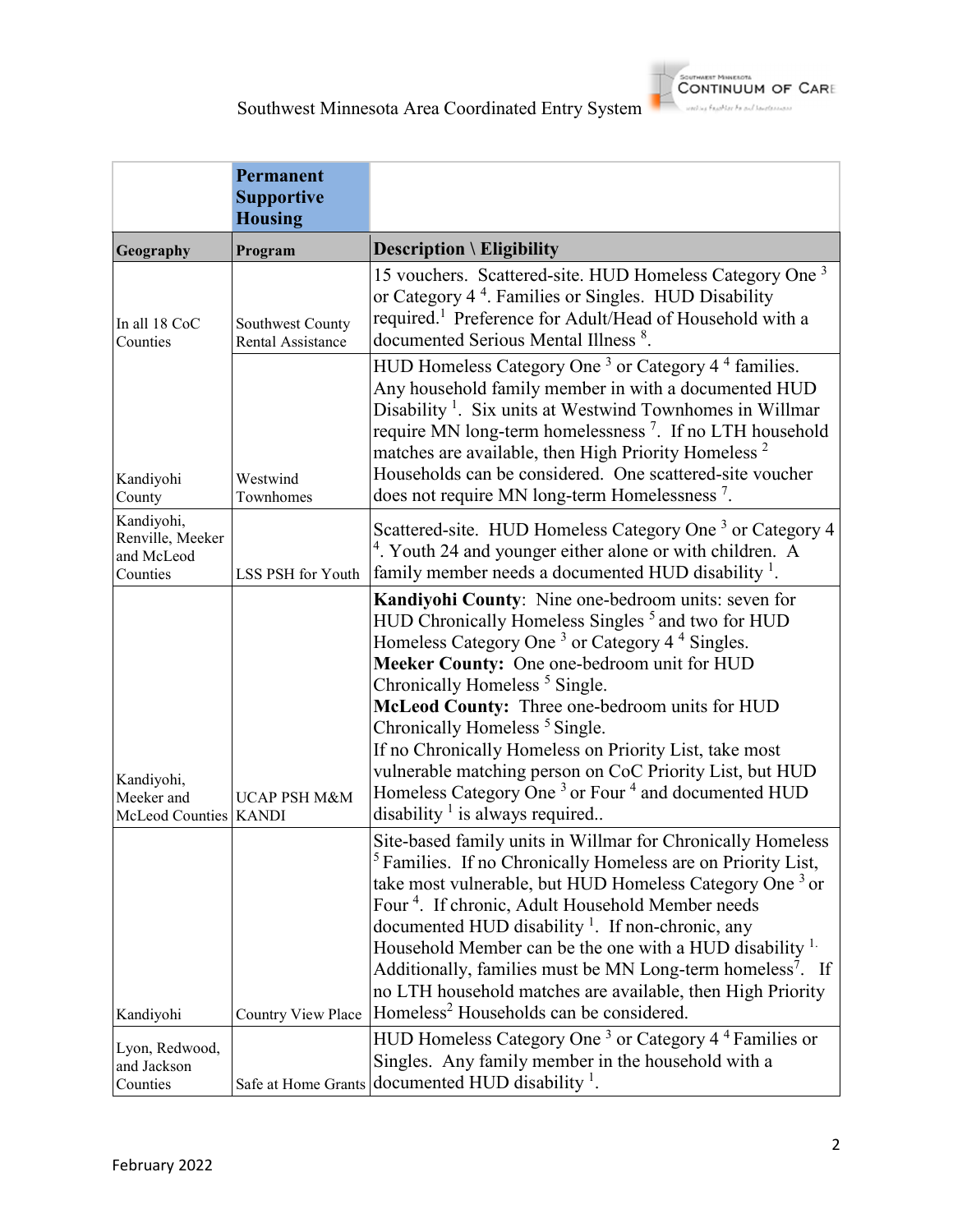

**CONTINUUM OF CARE** 

and we have black for any La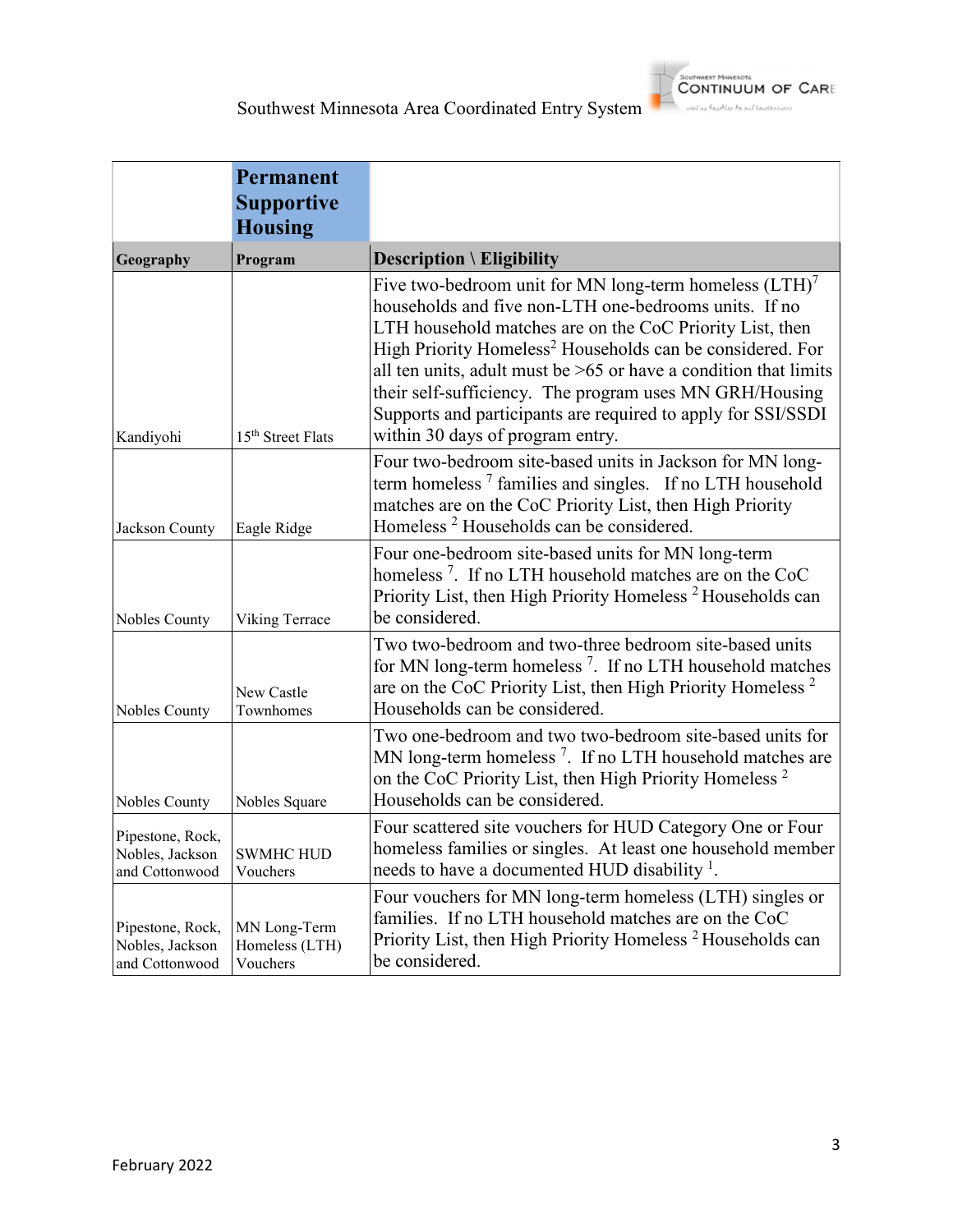

|                                                       | <b>Permanent</b><br><b>Supportive</b><br><b>Housing</b> |                                                                                                                                                                                                                                                                                                                                                                                                                                                                                              |
|-------------------------------------------------------|---------------------------------------------------------|----------------------------------------------------------------------------------------------------------------------------------------------------------------------------------------------------------------------------------------------------------------------------------------------------------------------------------------------------------------------------------------------------------------------------------------------------------------------------------------------|
| Geography                                             | Program                                                 | <b>Description \ Eligibility</b>                                                                                                                                                                                                                                                                                                                                                                                                                                                             |
| Kandiyohi                                             | 15 <sup>th</sup> Street Flats                           | Five two-bedroom unit for MN long-term homeless $(LTH)^7$<br>households and five non-LTH one-bedrooms units. If no<br>LTH household matches are on the CoC Priority List, then<br>High Priority Homeless <sup>2</sup> Households can be considered. For<br>all ten units, adult must be $>65$ or have a condition that limits<br>their self-sufficiency. The program uses MN GRH/Housing<br>Supports and participants are required to apply for SSI/SSDI<br>within 30 days of program entry. |
| Jackson County                                        | Eagle Ridge                                             | Four two-bedroom site-based units in Jackson for MN long-<br>term homeless <sup>7</sup> families and singles. If no LTH household<br>matches are on the CoC Priority List, then High Priority<br>Homeless <sup>2</sup> Households can be considered.                                                                                                                                                                                                                                         |
| Nobles County                                         | Viking Terrace                                          | Four one-bedroom site-based units for MN long-term<br>homeless <sup>7</sup> . If no LTH household matches are on the CoC<br>Priority List, then High Priority Homeless <sup>2</sup> Households can<br>be considered.                                                                                                                                                                                                                                                                         |
| Nobles County                                         | New Castle<br>Townhomes                                 | Two two-bedroom and two-three bedroom site-based units<br>for MN long-term homeless <sup>7</sup> . If no LTH household matches<br>are on the CoC Priority List, then High Priority Homeless <sup>2</sup><br>Households can be considered.                                                                                                                                                                                                                                                    |
| Nobles County                                         | Nobles Square                                           | Two one-bedroom and two two-bedroom site-based units for<br>MN long-term homeless <sup>7</sup> . If no LTH household matches are<br>on the CoC Priority List, then High Priority Homeless <sup>2</sup><br>Households can be considered.                                                                                                                                                                                                                                                      |
| Pipestone, Rock,<br>Nobles, Jackson<br>and Cottonwood | <b>SWMHC HUD</b><br>Vouchers                            | Four scattered site vouchers for HUD Category One or Four<br>homeless families or singles. At least one household member<br>needs to have a documented HUD disability <sup>1</sup> .                                                                                                                                                                                                                                                                                                         |
| Pipestone, Rock,<br>Nobles, Jackson<br>and Cottonwood | MN Long-Term<br>Homeless (LTH)<br>Vouchers              | Four vouchers for MN long-term homeless (LTH) singles or<br>families. If no LTH household matches are on the CoC<br>Priority List, then High Priority Homeless <sup>2</sup> Households can<br>be considered.                                                                                                                                                                                                                                                                                 |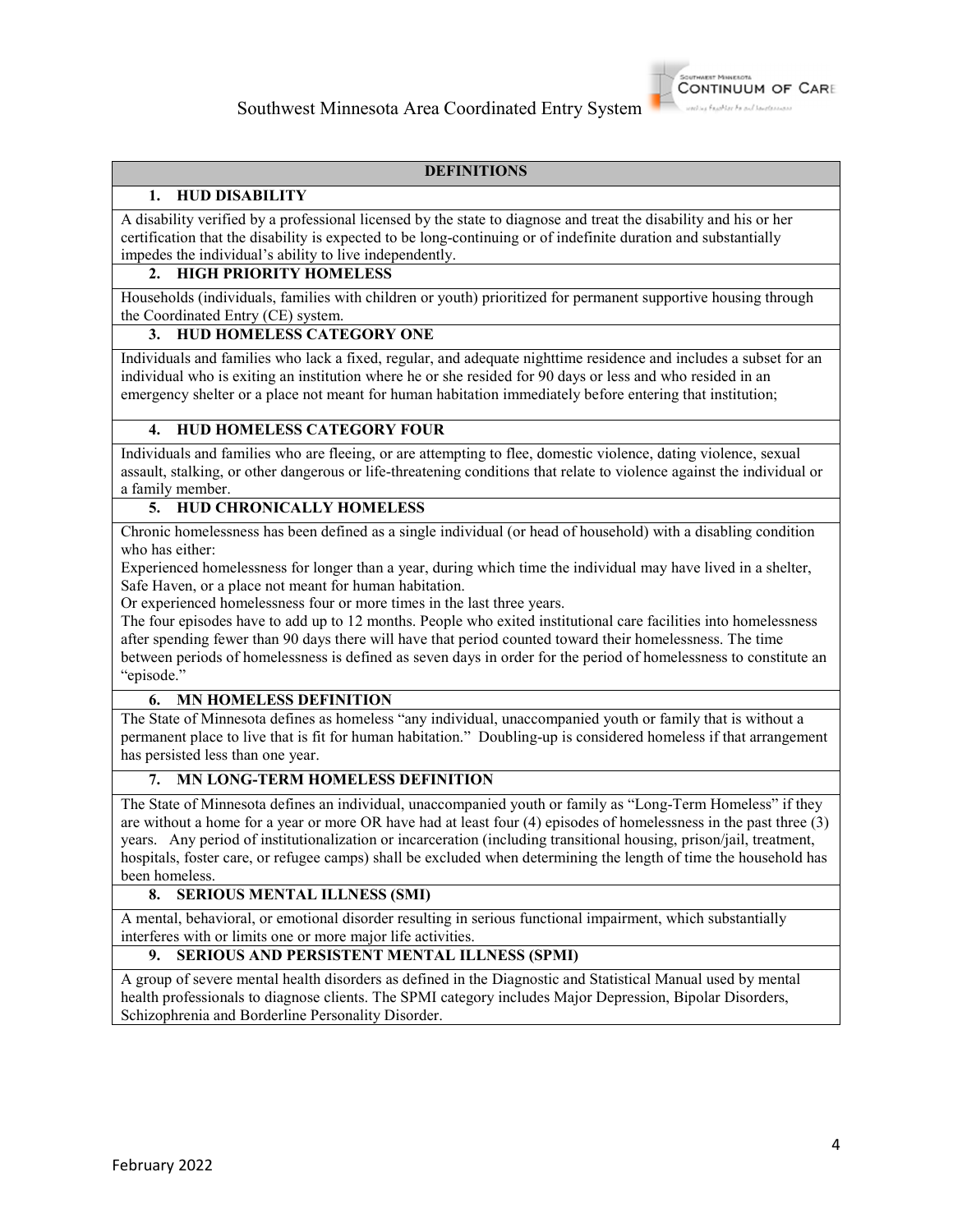

## **DEFINITIONS**

# **1. HUD DISABILITY**

A disability verified by a professional licensed by the state to diagnose and treat the disability and his or her certification that the disability is expected to be long-continuing or of indefinite duration and substantially impedes the individual's ability to live independently.

## **2. HIGH PRIORITY HOMELESS**

Households (individuals, families with children or youth) prioritized for permanent supportive housing through the Coordinated Entry (CE) system.

# **3. HUD HOMELESS CATEGORY ONE**

Individuals and families who lack a fixed, regular, and adequate nighttime residence and includes a subset for an individual who is exiting an institution where he or she resided for 90 days or less and who resided in an emergency shelter or a place not meant for human habitation immediately before entering that institution;

## **4. HUD HOMELESS CATEGORY FOUR**

Individuals and families who are fleeing, or are attempting to flee, domestic violence, dating violence, sexual assault, stalking, or other dangerous or life-threatening conditions that relate to violence against the individual or a family member.

## **5. HUD CHRONICALLY HOMELESS**

Chronic homelessness has been defined as a single individual (or head of household) with a disabling condition who has either:

Experienced homelessness for longer than a year, during which time the individual may have lived in a shelter, Safe Haven, or a place not meant for human habitation.

Or experienced homelessness four or more times in the last three years.

The four episodes have to add up to 12 months. People who exited institutional care facilities into homelessness after spending fewer than 90 days there will have that period counted toward their homelessness. The time between periods of homelessness is defined as seven days in order for the period of homelessness to constitute an "episode."

### **6. MN HOMELESS DEFINITION**

The State of Minnesota defines as homeless "any individual, unaccompanied youth or family that is without a permanent place to live that is fit for human habitation." Doubling-up is considered homeless if that arrangement has persisted less than one year.

## **7. MN LONG-TERM HOMELESS DEFINITION**

The State of Minnesota defines an individual, unaccompanied youth or family as "Long-Term Homeless" if they are without a home for a year or more OR have had at least four (4) episodes of homelessness in the past three (3) years. Any period of institutionalization or incarceration (including transitional housing, prison/jail, treatment, hospitals, foster care, or refugee camps) shall be excluded when determining the length of time the household has been homeless.

### **8. SERIOUS MENTAL ILLNESS (SMI)**

A mental, behavioral, or emotional disorder resulting in serious functional impairment, which substantially interferes with or limits one or more major life activities.

### **9. SERIOUS AND PERSISTENT MENTAL ILLNESS (SPMI)**

A group of severe mental health disorders as defined in the Diagnostic and Statistical Manual used by mental health professionals to diagnose clients. The SPMI category includes Major Depression, Bipolar Disorders, Schizophrenia and Borderline Personality Disorder.